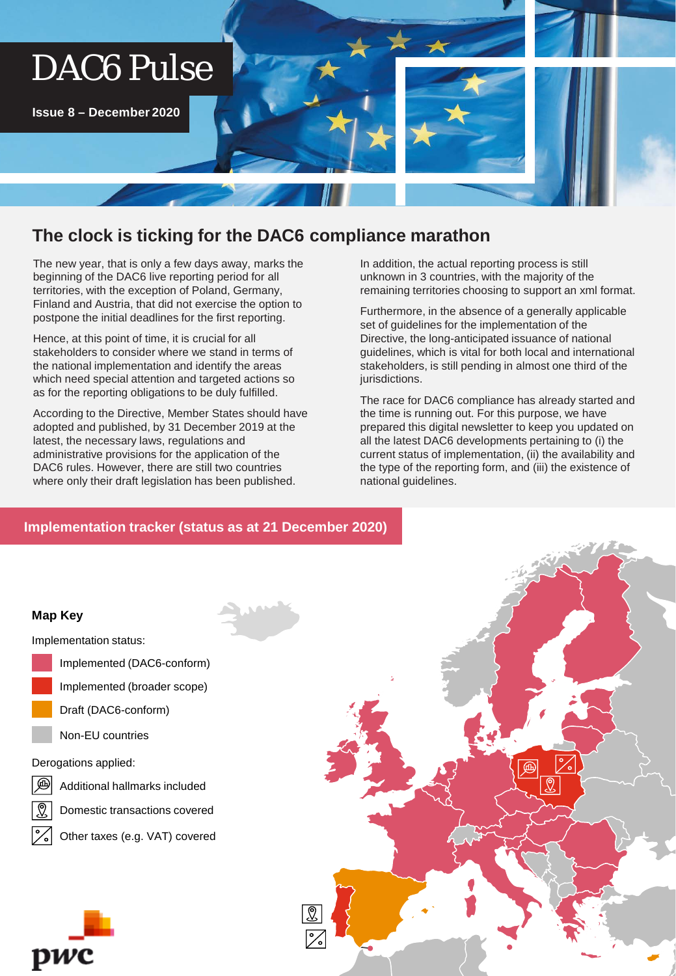# DAC6 Pulse

**Issue 8 – December 2020**

# **The clock is ticking for the DAC6 compliance marathon**

The new year, that is only a few days away, marks the beginning of the DAC6 live reporting period for all territories, with the exception of Poland, Germany, Finland and Austria, that did not exercise the option to postpone the initial deadlines for the first reporting.

Hence, at this point of time, it is crucial for all stakeholders to consider where we stand in terms of the national implementation and identify the areas which need special attention and targeted actions so as for the reporting obligations to be duly fulfilled.

According to the Directive, Member States should have adopted and published, by 31 December 2019 at the latest, the necessary laws, regulations and administrative provisions for the application of the DAC6 rules. However, there are still two countries where only their draft legislation has been published.

In addition, the actual reporting process is still unknown in 3 countries, with the majority of the remaining territories choosing to support an xml format.

Furthermore, in the absence of a generally applicable set of guidelines for the implementation of the Directive, the long-anticipated issuance of national guidelines, which is vital for both local and international stakeholders, is still pending in almost one third of the jurisdictions.

The race for DAC6 compliance has already started and the time is running out. For this purpose, we have prepared this digital newsletter to keep you updated on all the latest DAC6 developments pertaining to (i) the current status of implementation, (ii) the availability and the type of the reporting form, and (iii) the existence of national guidelines.

# **Implementation tracker (status as at 21 December 2020)**





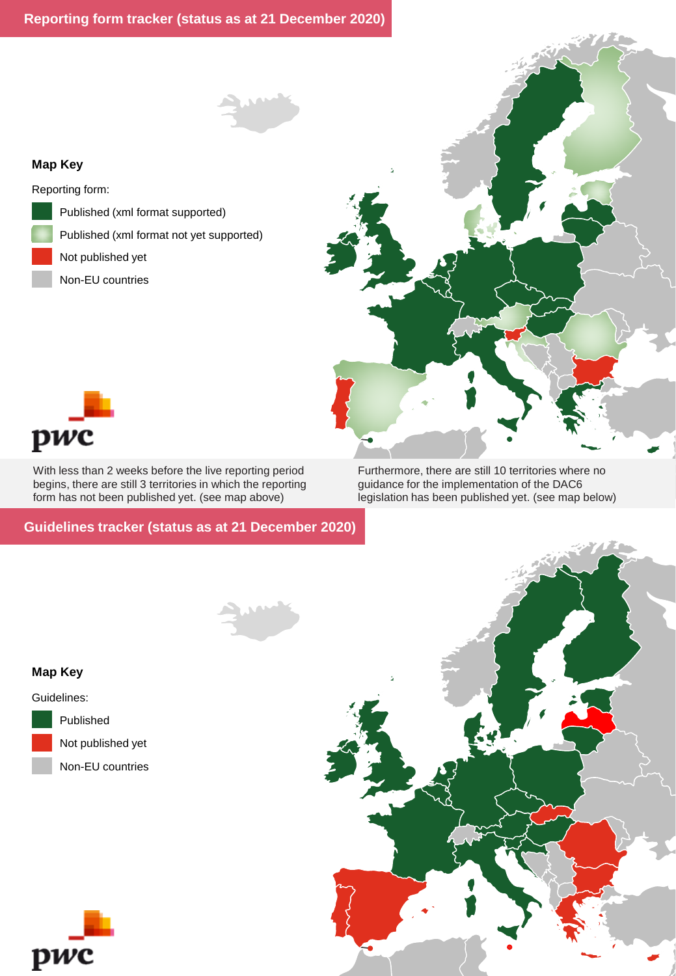#### **Map Key**

Reporting form:

- Published (xml format supported)
- Published (xml format not yet supported)
- Not published yet
	- Non-EU countries





With less than 2 weeks before the live reporting period begins, there are still 3 territories in which the reporting form has not been published yet. (see map above)

**Guidelines tracker (status as at 21 December 2020)**

Furthermore, there are still 10 territories where no guidance for the implementation of the DAC6 legislation has been published yet. (see map below)



### **Map Key**

Guidelines: